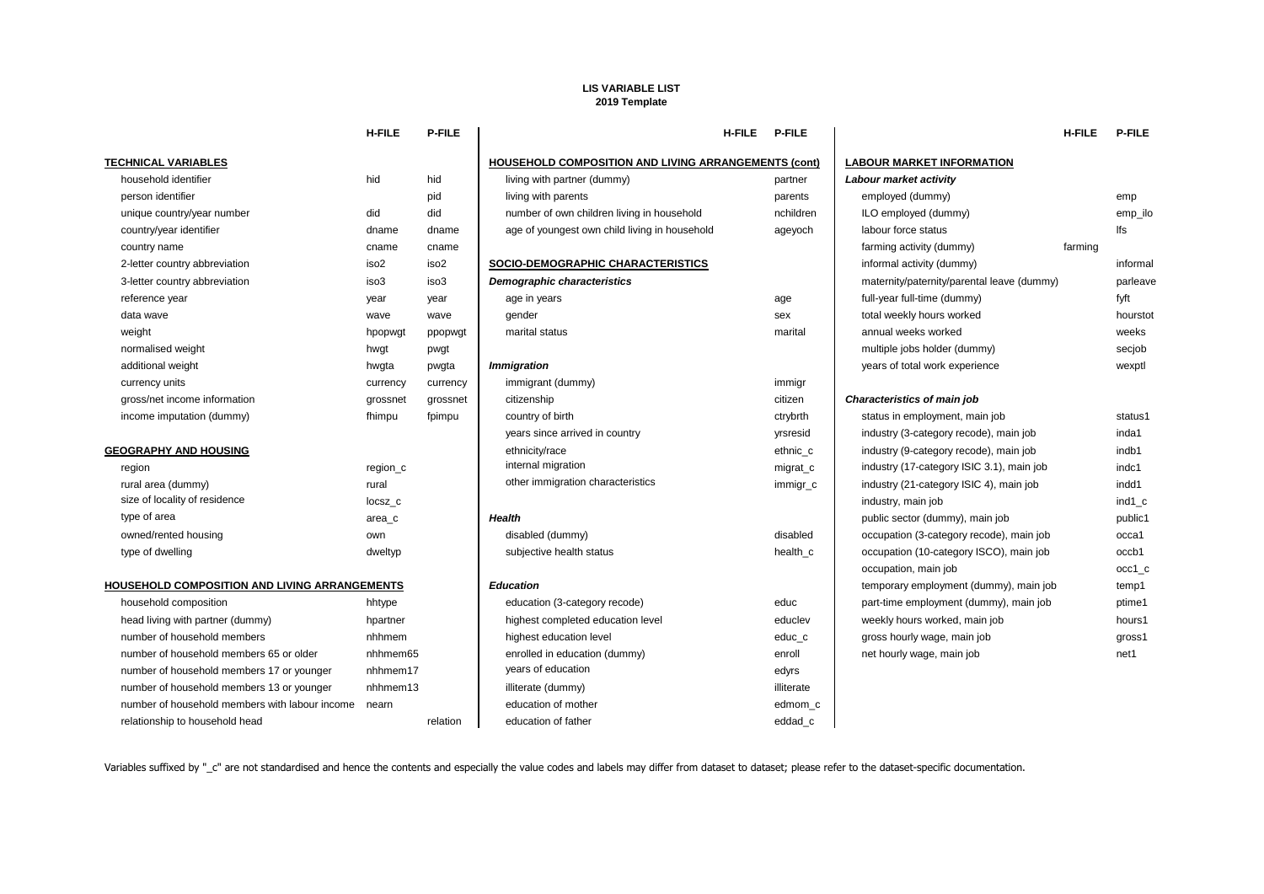## **LIS VARIABLE LIST 2019 Template**

|                                                      | <b>H-FILE</b>    | P-FILE           |                                                             | <b>H-FILE</b> | <b>P-FILE</b> |                                            | <b>H-FILE</b> | <b>P-FILE</b> |
|------------------------------------------------------|------------------|------------------|-------------------------------------------------------------|---------------|---------------|--------------------------------------------|---------------|---------------|
| <b>TECHNICAL VARIABLES</b>                           |                  |                  | <b>HOUSEHOLD COMPOSITION AND LIVING ARRANGEMENTS (cont)</b> |               |               | LABOUR MARKET INFORMATION                  |               |               |
| household identifier                                 | hid              | hid              | living with partner (dummy)                                 |               | partner       | Labour market activity                     |               |               |
| person identifier                                    |                  | pid              | living with parents                                         |               | parents       | employed (dummy)                           |               | emp           |
| unique country/year number                           | did              | did              | number of own children living in household                  |               | nchildren     | ILO employed (dummy)                       |               | emp_ilo       |
| country/year identifier                              | dname            | dname            | age of youngest own child living in household               |               | ageyoch       | labour force status                        |               | lfs           |
| country name                                         | cname            | cname            |                                                             |               |               | farming activity (dummy)                   | farming       |               |
| 2-letter country abbreviation                        | iso <sub>2</sub> | iso <sub>2</sub> | SOCIO-DEMOGRAPHIC CHARACTERISTICS                           |               |               | informal activity (dummy)                  |               | informal      |
| 3-letter country abbreviation                        | iso3             | iso3             | <b>Demographic characteristics</b>                          |               |               | maternity/paternity/parental leave (dummy) |               | parleave      |
| reference year                                       | year             | year             | age in years                                                |               | age           | full-year full-time (dummy)                |               | fyft          |
| data wave                                            | wave             | wave             | gender                                                      |               | sex           | total weekly hours worked                  |               | hourstot      |
| weight                                               | hpopwgt          | ppopwgt          | marital status                                              |               | marital       | annual weeks worked                        |               | weeks         |
| normalised weight                                    | hwgt             | pwgt             |                                                             |               |               | multiple jobs holder (dummy)               |               | secjob        |
| additional weight                                    | hwgta            | pwgta            | <i><b>Immigration</b></i>                                   |               |               | years of total work experience             |               | wexptl        |
| currency units                                       | currency         | currency         | immigrant (dummy)                                           |               | immigr        |                                            |               |               |
| gross/net income information                         | grossnet         | grossnet         | citizenship                                                 |               | citizen       | Characteristics of main job                |               |               |
| income imputation (dummy)                            | fhimpu           | fpimpu           | country of birth                                            |               | ctrybrth      | status in employment, main job             |               | status1       |
|                                                      |                  |                  | years since arrived in country                              |               | yrsresid      | industry (3-category recode), main job     |               | inda1         |
| <b>GEOGRAPHY AND HOUSING</b>                         |                  |                  | ethnicity/race                                              |               | ethnic c      | industry (9-category recode), main job     |               | indb1         |
| region                                               | region_c         |                  | internal migration                                          |               | migrat_c      | industry (17-category ISIC 3.1), main job  |               | indc1         |
| rural area (dummy)                                   | rural            |                  | other immigration characteristics                           |               | immigr_c      | industry (21-category ISIC 4), main job    |               | indd1         |
| size of locality of residence                        | locsz c          |                  |                                                             |               |               | industry, main job                         |               | ind1 c        |
| type of area                                         | area c           |                  | <b>Health</b>                                               |               |               | public sector (dummy), main job            |               | public1       |
| owned/rented housing                                 | own              |                  | disabled (dummy)                                            |               | disabled      | occupation (3-category recode), main job   |               | occa1         |
| type of dwelling                                     | dweltyp          |                  | subjective health status                                    |               | health_c      | occupation (10-category ISCO), main job    |               | occb1         |
|                                                      |                  |                  |                                                             |               |               | occupation, main job                       |               | occ1 c        |
| <b>HOUSEHOLD COMPOSITION AND LIVING ARRANGEMENTS</b> |                  |                  | <b>Education</b>                                            |               |               | temporary employment (dummy), main job     |               | temp1         |
| household composition                                | hhtype           |                  | education (3-category recode)                               |               | educ          | part-time employment (dummy), main job     |               | ptime1        |
| head living with partner (dummy)                     | hpartner         |                  | highest completed education level                           |               | educlev       | weekly hours worked, main job              |               | hours1        |
| number of household members                          | nhhmem           |                  | highest education level                                     |               | educ c        | gross hourly wage, main job                |               | gross1        |
| number of household members 65 or older              | nhhmem65         |                  | enrolled in education (dummy)                               |               | enroll        | net hourly wage, main job                  |               | net1          |
| number of household members 17 or younger            | nhhmem17         |                  | years of education                                          |               | edyrs         |                                            |               |               |
| number of household members 13 or younger            | nhhmem13         |                  | illiterate (dummy)                                          |               | illiterate    |                                            |               |               |
| number of household members with labour income       | nearn            |                  | education of mother                                         |               | edmom_c       |                                            |               |               |
| relationship to household head                       |                  | relation         | education of father                                         |               | eddad c       |                                            |               |               |
|                                                      |                  |                  |                                                             |               |               |                                            |               |               |

Variables suffixed by "\_c" are not standardised and hence the contents and especially the value codes and labels may differ from dataset to dataset; please refer to the dataset-specific documentation.